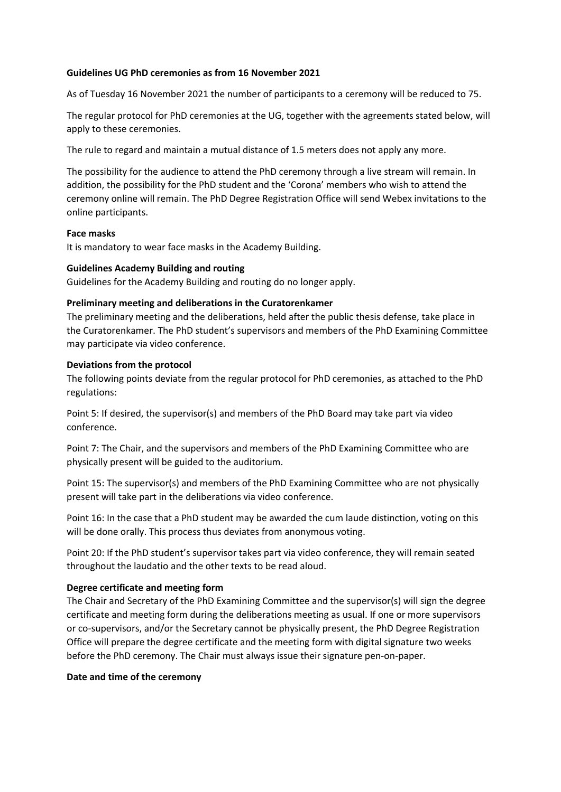#### **Guidelines UG PhD ceremonies as from 16 November 2021**

As of Tuesday 16 November 2021 the number of participants to a ceremony will be reduced to 75.

The regular protocol for PhD ceremonies at the UG, together with the agreements stated below, will apply to these ceremonies.

The rule to regard and maintain a mutual distance of 1.5 meters does not apply any more.

The possibility for the audience to attend the PhD ceremony through a live stream will remain. In addition, the possibility for the PhD student and the 'Corona' members who wish to attend the ceremony online will remain. The PhD Degree Registration Office will send Webex invitations to the online participants.

#### **Face masks**

It is mandatory to wear face masks in the Academy Building.

## **Guidelines Academy Building and routing**

Guidelines for the Academy Building and routing do no longer apply.

## **Preliminary meeting and deliberations in the Curatorenkamer**

The preliminary meeting and the deliberations, held after the public thesis defense, take place in the Curatorenkamer. The PhD student's supervisors and members of the PhD Examining Committee may participate via video conference.

## **Deviations from the protocol**

The following points deviate from the regular protocol for PhD ceremonies, as attached to the PhD regulations:

Point 5: If desired, the supervisor(s) and members of the PhD Board may take part via video conference.

Point 7: The Chair, and the supervisors and members of the PhD Examining Committee who are physically present will be guided to the auditorium.

Point 15: The supervisor(s) and members of the PhD Examining Committee who are not physically present will take part in the deliberations via video conference.

Point 16: In the case that a PhD student may be awarded the cum laude distinction, voting on this will be done orally. This process thus deviates from anonymous voting.

Point 20: If the PhD student's supervisor takes part via video conference, they will remain seated throughout the laudatio and the other texts to be read aloud.

# **Degree certificate and meeting form**

The Chair and Secretary of the PhD Examining Committee and the supervisor(s) will sign the degree certificate and meeting form during the deliberations meeting as usual. If one or more supervisors or co-supervisors, and/or the Secretary cannot be physically present, the PhD Degree Registration Office will prepare the degree certificate and the meeting form with digital signature two weeks before the PhD ceremony. The Chair must always issue their signature pen-on-paper.

#### **Date and time of the ceremony**